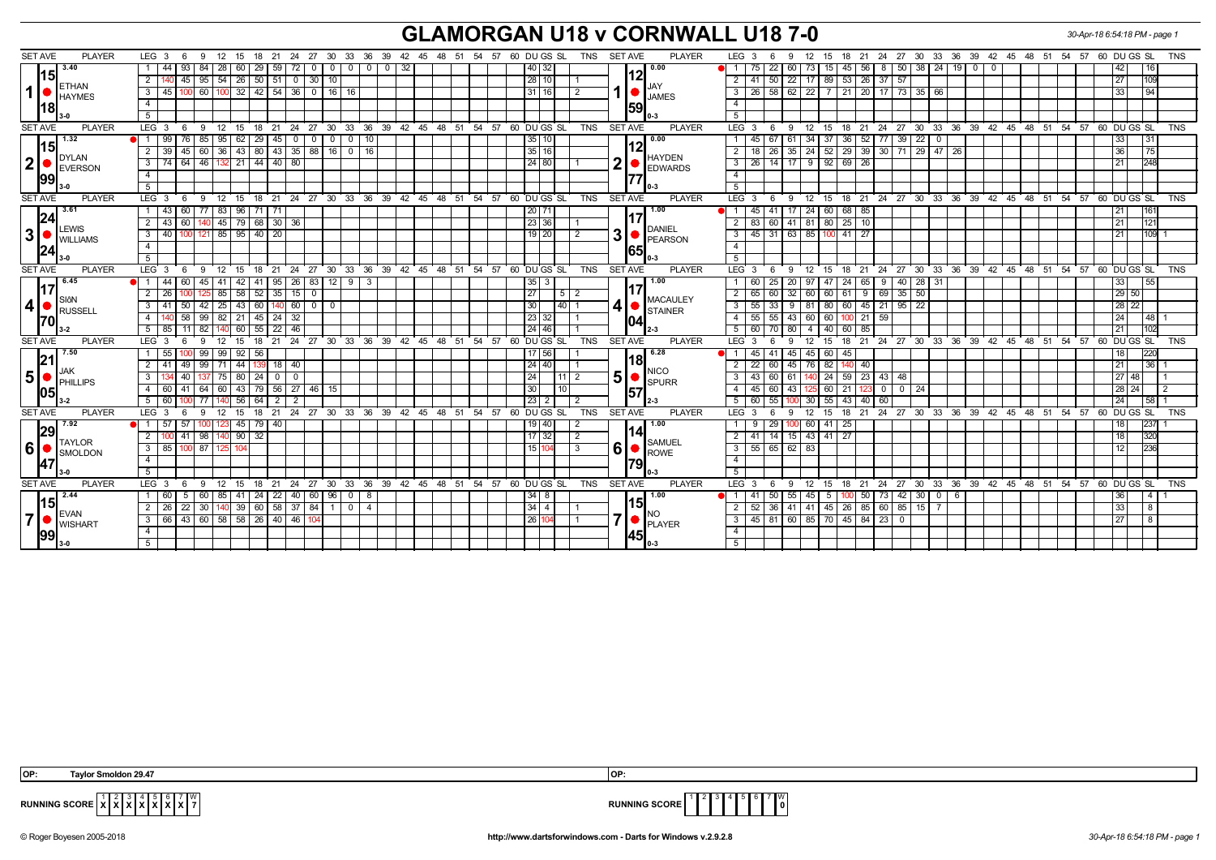## **GLAMORGAN U18 v CORNWALL U18 7-0** *30-Apr-18 6:54:18 PM - page 1*

| <b>SET AVE</b><br><b>PLAYER</b>                          | LEG 3<br>- 6<br>9                                                    | 12 15 18 21 24 27 30 33 36 39 42 45 48 51 54 57 60 DUGS SL           |                                                  | TNS                                                               | <b>PLAYER</b><br>SET AVE                                | <b>TNS</b><br>LEG 3<br>- 12<br>15 18 21 24 27 30 33 36 39 42 45 48 51 54 57<br>60 DU GS SL<br>9<br>- 6                              |
|----------------------------------------------------------|----------------------------------------------------------------------|----------------------------------------------------------------------|--------------------------------------------------|-------------------------------------------------------------------|---------------------------------------------------------|-------------------------------------------------------------------------------------------------------------------------------------|
| 3.40                                                     | $1 \mid 44$<br>93   84  <br>28                                       | 59<br>60   29  <br>l 72<br>$\circ$ 1                                 | $0 \mid 0 \mid 32$<br>$^{\circ}$<br>$\mathbf{0}$ | 40 32                                                             | 0.00                                                    | 22<br>8 50<br>38   24   19  <br>$\overline{1}$<br>45<br>56<br>75<br>60<br>  73<br>15 I<br>$\overline{\mathbf{0}}$<br>$\mathbf{0}$   |
| 15                                                       | $45$   95   54<br><sup>2</sup>                                       | $26$ 50 51<br>30 <sup>1</sup><br>10<br>$\mathbf 0$                   |                                                  | 28 10                                                             | l12l                                                    | $\sqrt{22}$<br>$26$ 37 57<br>$\overline{2}$<br>50 <sub>1</sub><br>  17   89   53  <br>41<br>27<br>109                               |
| <b>ETHAN</b><br>$1$ $\bullet$                            | $3 \mid 45 \mid$                                                     | 100 60 100 32 42 54 36 0 16 16                                       |                                                  | 31 16<br>2                                                        | <b>JAY</b><br>1                                         | 26   58   62   22   7   21   20   17   73   35   66<br>$\overline{3}$<br>33<br> 94                                                  |
| HAYMES                                                   | $\overline{4}$                                                       |                                                                      |                                                  |                                                                   | <b>JAMES</b>                                            | $\overline{4}$                                                                                                                      |
| 18 <br>3-0                                               | 5 <sup>1</sup>                                                       |                                                                      |                                                  |                                                                   | 59                                                      | $\overline{5}$                                                                                                                      |
| <b>PLAYER</b><br><b>SET AVE</b>                          | $LEG \ 3$<br>- 6                                                     | 9 12 15 18 21 24 27 30 33 36 39 42 45 48 51 54 57 60 DUGS SL         |                                                  | <b>TNS</b>                                                        | <b>SET AVE</b><br><b>PLAYER</b>                         | 15 18 21 24 27 30 33 36 39 42 45 48 51 54 57 60 DUGS SL<br>LEG <sup>3</sup><br><b>TNS</b><br>9<br>12<br>- 6                         |
| 1.32                                                     | 1 99<br>95<br>76   85                                                | $62 \mid 29 \mid$<br>45<br>$\overline{0}$<br>$\circ$ 1               | $\overline{0}$<br>$\overline{0}$<br>  10         | 35 10                                                             | $\sqrt{0.00}$                                           | 52 77 39<br>36<br>22<br>67<br>34<br>-37 I<br>33<br>$\vert$ 31<br>$\overline{1}$<br>45 I<br>$\overline{0}$                           |
| 15                                                       | - 39<br>45<br>36<br>l 60 l                                           | 43<br>35<br>88   16<br>43   80                                       | 16<br>$\overline{\mathbf{0}}$                    | 35 16                                                             |                                                         | $\overline{2}$<br>24 52 29 39<br>$30$ 71<br>$29$   47<br>35<br>26<br>36<br>l 75 l<br>26                                             |
| DYLAN<br> 2                                              | $3 \mid 74 \mid 64 \mid 46 \mid 132 \mid 21 \mid 44 \mid 40 \mid 80$ |                                                                      |                                                  | 24 80                                                             | <b>HAYDEN</b><br>∩<br><b>EDWARDS</b>                    | $\overline{3}$<br>14   17   9   92   69   26<br>26<br>248<br> 21                                                                    |
| EVERSON<br> 99                                           |                                                                      |                                                                      |                                                  |                                                                   |                                                         | $\overline{4}$                                                                                                                      |
| 3-0                                                      | 5                                                                    |                                                                      |                                                  |                                                                   |                                                         | 5                                                                                                                                   |
| <b>PLAYER</b><br><b>SET AVE</b>                          | LEG <sub>3</sub><br>12<br>6<br>- 9                                   | 15                                                                   |                                                  | 18 21 24 27 30 33 36 39 42 45 48 51 54 57 60 DUGS SL<br>TNS       | <b>PLAYER</b><br><b>SET AVE</b>                         | 18 21 24 27 30 33 36 39 42 45 48 51 54 57 60 DUGS SL<br>LEG <sub>3</sub><br>12<br>15<br><b>TNS</b><br>9<br>- 6                      |
| 3.61                                                     | 83<br>$1 \mid 43$<br>60 77                                           | 96<br>- 71<br>71                                                     |                                                  | 20 71                                                             | 1.00                                                    | $\sqrt{24}$<br>60<br>$\overline{1}$<br>17<br>68 85<br>1161<br>45                                                                    |
| 24                                                       | $2 \mid 43$<br>45                                                    | 79 68 30 36                                                          |                                                  | 23 36                                                             |                                                         | 41   81   80   25   10<br>2<br>83<br>121<br>60 I<br>21                                                                              |
| LEWIS<br>3 <sup>1</sup><br><b>WILLIAMS</b><br> 24<br>3-0 | $3 \mid 40$                                                          | 85   95   40  <br>20                                                 |                                                  | $19$   20<br>2                                                    | DANIEL<br>3<br>PEARSON<br>1651                          | $\overline{3}$<br>$31 \mid 63 \mid 85 \mid$<br>100 41<br>-27<br>109 1<br>45 I<br>21                                                 |
|                                                          | $\overline{4}$                                                       |                                                                      |                                                  |                                                                   |                                                         | $\overline{4}$                                                                                                                      |
|                                                          | 5                                                                    |                                                                      |                                                  |                                                                   |                                                         | $\overline{5}$                                                                                                                      |
| <b>SET AVE</b><br><b>PLAYER</b>                          |                                                                      | LEG 3 6 9 12 15 18 21 24 27 30 33 36 39 42 45 48 51 54 57 60 DUGS SL |                                                  | TNS                                                               | <b>SET AVE</b><br><b>PLAYER</b>                         | LEG 3<br>12<br>18  21  24  27  30  33  36  39  42  45  48  51  54  57  60  DU  GS  SL<br><b>TNS</b><br>15<br>- 6<br>- 9             |
| 6.45                                                     | $1 \mid 44$<br>60<br>41<br>45 I                                      | 95<br>26<br>-83 I<br>42                                              | 9<br>12<br>3                                     | 35<br>3                                                           | ▌ 1.00<br><b>MACAULEY</b><br>4<br><b>STAINER</b><br>104 | 20<br>24<br>40<br>97<br>65<br>9<br>28 31<br>33<br>-60                                                                               |
| 117<br>SIôN<br> 4   ●  <br>RUSSELL<br>170                | $2 \mid 26$                                                          | 25 85 58 52 35 15<br>$\overline{0}$                                  |                                                  | 27<br>$\sqrt{5}$   2                                              |                                                         | 9   69   35   50<br> 29 50 <br>$\boxed{60}$ 32 $\boxed{60}$ $\boxed{60}$ $\boxed{61}$<br>2<br>65                                    |
|                                                          | 25<br>$3 \mid 41$<br>50   42                                         | 43<br>140 60<br>60<br>$0$ 0                                          |                                                  | 30<br>40                                                          |                                                         | $45$ 21 95 22<br>$\overline{3}$<br>  28   22  <br>55<br>33 <sup>1</sup><br>9<br>81<br>80 60                                         |
|                                                          | 4   140                                                              | $58$ 99 82 21 45 24 32                                               |                                                  | 23 32                                                             |                                                         | 55 55 43 60 60 100 21 59<br> 24 <br> 48 1<br>$\overline{4}$                                                                         |
| 3-2                                                      | 5 85<br>11 8 2<br>140                                                | 60<br>46<br>55<br>22                                                 |                                                  | $24$ 46                                                           |                                                         | $5\overline{5}$<br>102<br>60<br>70 I<br>-80<br>$\overline{4}$<br>40 I<br>  60<br>85<br>l 21                                         |
| <b>SET AVE</b><br><b>PLAYER</b>                          | LEG <sub>3</sub><br>-9<br>12                                         | 21<br>24<br>15<br>18                                                 |                                                  | 27 30 33 36 39 42 45 48 51 54 57 60 DUGS SL<br>TNS                | <b>SET AVE</b><br><b>PLAYER</b>                         | 18 21 24 27 30 33 36 39 42 45 48 51 54 57 60 DUGS SL<br>LEG <sub>3</sub><br><b>TNS</b><br>12<br>15                                  |
| 7.50<br> 21                                              | 1 55<br>99  <br>99                                                   | 92<br>56                                                             |                                                  | 17   56                                                           | 16.28<br>118I<br><b>NICO</b><br>5<br><b>SPURR</b>       | 60 I<br>1220<br>45<br>45<br>45 I<br>45<br>18 <sup>1</sup>                                                                           |
| <b>JAK</b>                                               | $2 \mid 41$<br>49   99   71                                          | 44<br>18   40                                                        |                                                  | 24 40                                                             |                                                         | $\overline{2}$<br>22<br>45   76   82  <br>l 21 l<br>  36   1<br>-60 I<br>40<br>140                                                  |
| 5 <sup>1</sup><br><b>PHILLIPS</b>                        | 75                                                                   | 80<br>  24  <br>$^{\circ}$                                           |                                                  | 24<br>11   2                                                      |                                                         | 3<br>23<br>48<br>43<br>60 l<br>61<br>-24 I<br>59<br>43<br>27148                                                                     |
| 105                                                      | 4 60<br>41   64   60                                                 | 43 79 56 27<br>46 I<br>15                                            |                                                  | 30 <sup>1</sup>                                                   | 157                                                     | 60 43<br>60   21<br>$\overline{4}$<br>45 I<br>$0$   0  <br>28   24  <br>-24<br>123.                                                 |
|                                                          | $5 \mid 60$                                                          | 56<br>64<br>$\overline{2}$                                           |                                                  | 23 <br>2                                                          | 2-3                                                     | 55<br>43<br>5<br>60<br>55<br>30<br>40<br>60<br>24<br>l 58 l 1                                                                       |
| <b>SET AVE</b><br><b>PLAYER</b>                          | LEG <sup>3</sup><br>12<br>6<br>9                                     | 15                                                                   |                                                  | 18 21 24 27 30 33 36 39 42 45 48 51 54 57 60 DUGSSL<br><b>TNS</b> | <b>SET AVE</b><br><b>PLAYER</b>                         | 18 21 24 27 30 33 36 39 42 45 48 51 54 57 60 DUGS SL<br>LEG <sup>3</sup><br>12<br>15<br><b>TNS</b><br>-6<br>9                       |
| 7.92<br> 29                                              | $1 \mid 57$<br>123                                                   | $45$ 79<br>40                                                        |                                                  | $19$ 40                                                           | I 1.00<br>I141                                          | 237<br>29<br>$\boxed{60}$<br>$41 \overline{25}$<br>18                                                                               |
| <b>TAYLOR</b>                                            | $2 \overline{100}$<br>$41$ 98<br>140                                 | $90$ 32                                                              |                                                  | $17$ 32<br>$\overline{2}$                                         | SAMUEL                                                  | $\overline{2}$<br>14 15 43 41 27<br>41<br>18                                                                                        |
| 6 ● <br>SMOLDON                                          | $3 \mid 85$<br>$100$ 87<br>125                                       | 104                                                                  |                                                  | 15 104<br>3                                                       | 6<br><b>ROWE</b>                                        | $\overline{\mathbf{3}}$<br>$55 \mid 65 \mid 62 \mid 83$<br>12                                                                       |
|                                                          | $\overline{4}$                                                       |                                                                      |                                                  |                                                                   | 1791                                                    | $\overline{4}$                                                                                                                      |
|                                                          | 5 <sup>5</sup>                                                       |                                                                      |                                                  |                                                                   |                                                         | 5                                                                                                                                   |
| <b>PLAYER</b><br><b>SET AVE</b>                          | LEG <sub>3</sub><br>12<br>- 9<br>- 6                                 | 24 27 30<br>15<br>18 21                                              | $33^\circ$                                       | 36 39 42 45 48 51 54 57 60 DUGS SL<br><b>TNS</b>                  | <b>SET AVE</b><br><b>PLAYER</b>                         | 27<br>$30^{\circ}$<br>33 36 39 42 45 48 51 54 57 60 DUGS SL<br><b>TNS</b><br>LEG <sub>3</sub><br>12<br>21 24<br>9<br>15<br>18<br>-6 |
| 2.44<br>15                                               | $1 \mid 60 \mid$<br>5   60   85                                      | 41   24  <br>22<br>40 60 96                                          | $\mathbf 0$<br>8                                 | $34$   8                                                          | 1.00<br>l15I                                            | 50 <sup>°</sup><br>55<br> 50 73 42 <br>$30 \mid 0$<br>  45  <br>41<br>5 <sup>1</sup><br>6<br>36<br>14 I<br>100                      |
| EVAN                                                     | $2 \mid 26$<br>22 <sub>1</sub><br>30<br>140                          | 58<br>39<br>37<br>84<br>60                                           | $\overline{4}$<br>$\mathbf 0$                    | $34 \mid 4$                                                       | INO.                                                    | 2<br>41<br>$45 \mid 26$<br>85<br>60<br>85<br>33<br>52<br>36<br>41                                                                   |
| 7 <sup>1</sup><br><b>WISHART</b><br> 99                  | 3 66 43 60 58 58 26 40 46                                            |                                                                      |                                                  | 26 104                                                            | 7<br>PLAYER                                             | 45   81   60   85   70   45   84   23   0<br>$\overline{3}$<br>27 <sup>1</sup>                                                      |
|                                                          | $\overline{4}$                                                       |                                                                      |                                                  |                                                                   | <b>145</b>                                              | $\overline{4}$                                                                                                                      |
|                                                          |                                                                      |                                                                      |                                                  |                                                                   |                                                         |                                                                                                                                     |



 **X X X X X X** W



**RUNNING SCORE**  $\frac{1}{x}$